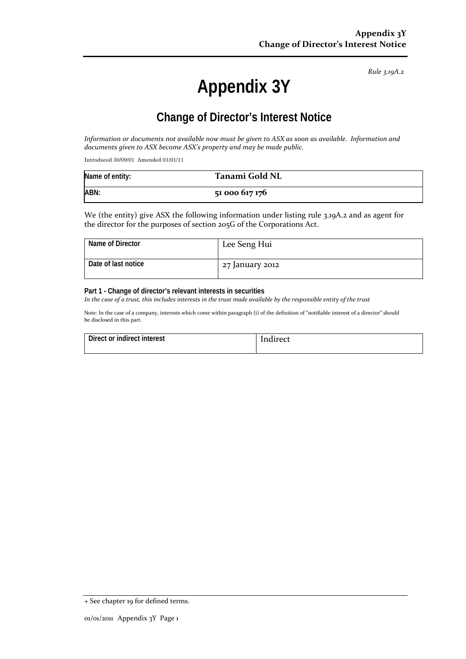*Rule 3.19A.2*

# **Appendix 3Y**

## **Change of Director's Interest Notice**

*Information or documents not available now must be given to ASX as soon as available. Information and documents given to ASX become ASX's property and may be made public.*

Introduced 30/09/01 Amended 01/01/11

| Name of entity: | Tanami Gold NL |
|-----------------|----------------|
| ABN:            | 51 000 617 176 |

We (the entity) give ASX the following information under listing rule 3.19A.2 and as agent for the director for the purposes of section 205G of the Corporations Act.

| Name of Director    | Lee Seng Hui    |
|---------------------|-----------------|
| Date of last notice | 27 January 2012 |

#### **Part 1 - Change of director's relevant interests in securities**

*In the case of a trust, this includes interests in the trust made available by the responsible entity of the trust*

Note: In the case of a company, interests which come within paragraph (i) of the definition of "notifiable interest of a director" should be disclosed in this part.

| Direct or indirect interest | Indirect |
|-----------------------------|----------|
|                             |          |

<sup>+</sup> See chapter 19 for defined terms.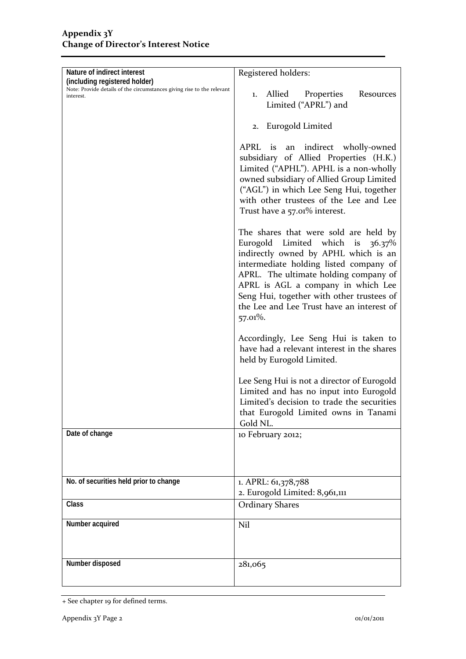| Nature of indirect interest                                                                             | Registered holders:                                                                    |  |
|---------------------------------------------------------------------------------------------------------|----------------------------------------------------------------------------------------|--|
| (including registered holder)<br>Note: Provide details of the circumstances giving rise to the relevant |                                                                                        |  |
| interest.                                                                                               | Allied<br>Properties<br>Resources<br>1.                                                |  |
|                                                                                                         | Limited ("APRL") and                                                                   |  |
|                                                                                                         | 2. Eurogold Limited                                                                    |  |
|                                                                                                         | APRL is an indirect wholly-owned                                                       |  |
|                                                                                                         | subsidiary of Allied Properties (H.K.)                                                 |  |
|                                                                                                         | Limited ("APHL"). APHL is a non-wholly                                                 |  |
|                                                                                                         | owned subsidiary of Allied Group Limited                                               |  |
|                                                                                                         | ("AGL") in which Lee Seng Hui, together<br>with other trustees of the Lee and Lee      |  |
|                                                                                                         | Trust have a 57.01% interest.                                                          |  |
|                                                                                                         | The shares that were sold are held by                                                  |  |
|                                                                                                         | Eurogold Limited which is 36.37%                                                       |  |
|                                                                                                         | indirectly owned by APHL which is an<br>intermediate holding listed company of         |  |
|                                                                                                         | APRL. The ultimate holding company of                                                  |  |
|                                                                                                         | APRL is AGL a company in which Lee                                                     |  |
|                                                                                                         | Seng Hui, together with other trustees of<br>the Lee and Lee Trust have an interest of |  |
|                                                                                                         | 57.01%.                                                                                |  |
|                                                                                                         | Accordingly, Lee Seng Hui is taken to                                                  |  |
|                                                                                                         | have had a relevant interest in the shares                                             |  |
|                                                                                                         | held by Eurogold Limited.                                                              |  |
|                                                                                                         | Lee Seng Hui is not a director of Eurogold                                             |  |
|                                                                                                         | Limited and has no input into Eurogold                                                 |  |
|                                                                                                         | Limited's decision to trade the securities<br>that Eurogold Limited owns in Tanami     |  |
|                                                                                                         | Gold NL.                                                                               |  |
| Date of change                                                                                          | 10 February 2012;                                                                      |  |
|                                                                                                         |                                                                                        |  |
|                                                                                                         |                                                                                        |  |
| No. of securities held prior to change                                                                  | 1. APRL: 61,378,788                                                                    |  |
|                                                                                                         | 2. Eurogold Limited: 8,961,111                                                         |  |
| Class                                                                                                   | <b>Ordinary Shares</b>                                                                 |  |
| Number acquired                                                                                         | Nil                                                                                    |  |
|                                                                                                         |                                                                                        |  |
| Number disposed                                                                                         | 281,065                                                                                |  |
|                                                                                                         |                                                                                        |  |

<sup>+</sup> See chapter 19 for defined terms.

i<br>S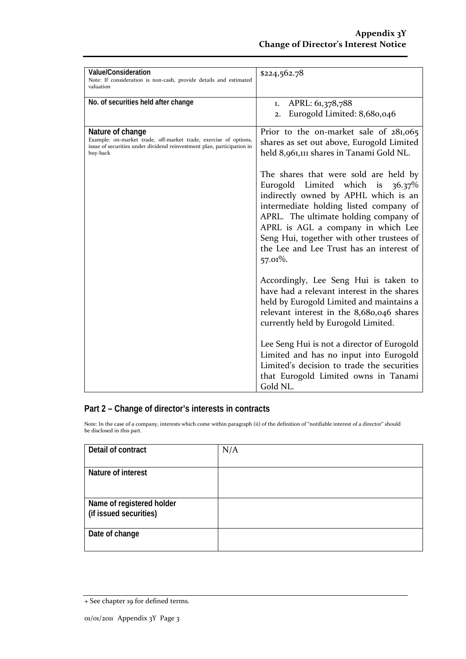| <b>Value/Consideration</b><br>Note: If consideration is non-cash, provide details and estimated<br>valuation                                                               | \$224,562.78                                                                                                                                                                                                                                                                                                                                                                                                                                                                                                                                                                                                                                                                                                                                                                                                                                                                                   |
|----------------------------------------------------------------------------------------------------------------------------------------------------------------------------|------------------------------------------------------------------------------------------------------------------------------------------------------------------------------------------------------------------------------------------------------------------------------------------------------------------------------------------------------------------------------------------------------------------------------------------------------------------------------------------------------------------------------------------------------------------------------------------------------------------------------------------------------------------------------------------------------------------------------------------------------------------------------------------------------------------------------------------------------------------------------------------------|
| No. of securities held after change                                                                                                                                        | APRL: 61,378,788<br>1.<br>Eurogold Limited: 8,680,046<br>$\overline{2}$ .                                                                                                                                                                                                                                                                                                                                                                                                                                                                                                                                                                                                                                                                                                                                                                                                                      |
| Nature of change<br>Example: on-market trade, off-market trade, exercise of options,<br>issue of securities under dividend reinvestment plan, participation in<br>buy-back | Prior to the on-market sale of $281,065$<br>shares as set out above, Eurogold Limited<br>held 8,961,111 shares in Tanami Gold NL.<br>The shares that were sold are held by<br>Eurogold<br>Limited which is $36.37\%$<br>indirectly owned by APHL which is an<br>intermediate holding listed company of<br>APRL. The ultimate holding company of<br>APRL is AGL a company in which Lee<br>Seng Hui, together with other trustees of<br>the Lee and Lee Trust has an interest of<br>57.01%.<br>Accordingly, Lee Seng Hui is taken to<br>have had a relevant interest in the shares<br>held by Eurogold Limited and maintains a<br>relevant interest in the 8,680,046 shares<br>currently held by Eurogold Limited.<br>Lee Seng Hui is not a director of Eurogold<br>Limited and has no input into Eurogold<br>Limited's decision to trade the securities<br>that Eurogold Limited owns in Tanami |
|                                                                                                                                                                            | Gold NL.                                                                                                                                                                                                                                                                                                                                                                                                                                                                                                                                                                                                                                                                                                                                                                                                                                                                                       |

### **Part 2 – Change of director's interests in contracts**

Note: In the case of a company, interests which come within paragraph (ii) of the definition of "notifiable interest of a director" should be disclosed in this part.

| Detail of contract                                  | N/A |
|-----------------------------------------------------|-----|
| Nature of interest                                  |     |
| Name of registered holder<br>(if issued securities) |     |
| Date of change                                      |     |

<sup>+</sup> See chapter 19 for defined terms.